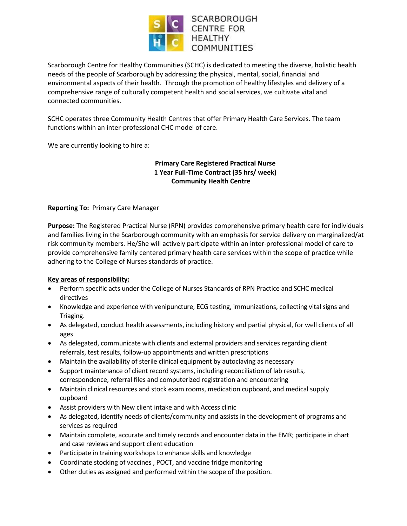

Scarborough Centre for Healthy Communities (SCHC) is dedicated to meeting the diverse, holistic health needs of the people of Scarborough by addressing the physical, mental, social, financial and environmental aspects of their health. Through the promotion of healthy lifestyles and delivery of a comprehensive range of culturally competent health and social services, we cultivate vital and connected communities.

SCHC operates three Community Health Centres that offer Primary Health Care Services. The team functions within an inter-professional CHC model of care.

We are currently looking to hire a:

# **Primary Care Registered Practical Nurse 1 Year Full-Time Contract (35 hrs/ week) Community Health Centre**

## **Reporting To:** Primary Care Manager

**Purpose:** The Registered Practical Nurse (RPN) provides comprehensive primary health care for individuals and families living in the Scarborough community with an emphasis for service delivery on marginalized/at risk community members*.* He/She will actively participate within an inter-professional model of care to provide comprehensive family centered primary health care services within the scope of practice while adhering to the College of Nurses standards of practice.

### **Key areas of responsibility:**

- Perform specific acts under the College of Nurses Standards of RPN Practice and SCHC medical directives
- Knowledge and experience with venipuncture, ECG testing, immunizations, collecting vital signs and Triaging.
- As delegated, conduct health assessments, including history and partial physical, for well clients of all ages
- As delegated, communicate with clients and external providers and services regarding client referrals, test results, follow-up appointments and written prescriptions
- Maintain the availability of sterile clinical equipment by autoclaving as necessary
- Support maintenance of client record systems, including reconciliation of lab results, correspondence, referral files and computerized registration and encountering
- Maintain clinical resources and stock exam rooms, medication cupboard, and medical supply cupboard
- Assist providers with New client intake and with Access clinic
- As delegated, identify needs of clients/community and assists in the development of programs and services as required
- Maintain complete, accurate and timely records and encounter data in the EMR; participate in chart and case reviews and support client education
- Participate in training workshops to enhance skills and knowledge
- Coordinate stocking of vaccines , POCT, and vaccine fridge monitoring
- Other duties as assigned and performed within the scope of the position.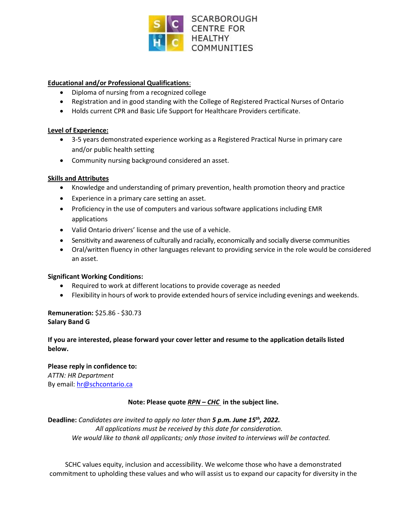

## **Educational and/or Professional Qualifications**:

- Diploma of nursing from a recognized college
- Registration and in good standing with the College of Registered Practical Nurses of Ontario
- Holds current CPR and Basic Life Support for Healthcare Providers certificate.

#### **Level of Experience:**

- 3-5 years demonstrated experience working as a Registered Practical Nurse in primary care and/or public health setting
- Community nursing background considered an asset.

### **Skills and Attributes**

- Knowledge and understanding of primary prevention, health promotion theory and practice
- Experience in a primary care setting an asset.
- Proficiency in the use of computers and various software applications including EMR applications
- Valid Ontario drivers' license and the use of a vehicle.
- Sensitivity and awareness of culturally and racially, economically and socially diverse communities
- Oral/written fluency in other languages relevant to providing service in the role would be considered an asset.

### **Significant Working Conditions:**

- Required to work at different locations to provide coverage as needed
- Flexibility in hours of work to provide extended hours of service including evenings and weekends.

## **Remuneration:** \$25.86 - \$30.73 **Salary Band G**

## **If you are interested, please forward your cover letter and resume to the application details listed below.**

**Please reply in confidence to:** *ATTN: HR Department* By email: [hr@schcontario.ca](mailto:hr@schcontario.ca)

# **Note: Please quote** *RPN – CHC* **in the subject line.**

**Deadline:** *Candidates are invited to apply no later than 5 p.m. June 15th , 2022. All applications must be received by this date for consideration. We would like to thank all applicants; only those invited to interviews will be contacted.*

SCHC values equity, inclusion and accessibility. We welcome those who have a demonstrated commitment to upholding these values and who will assist us to expand our capacity for diversity in the